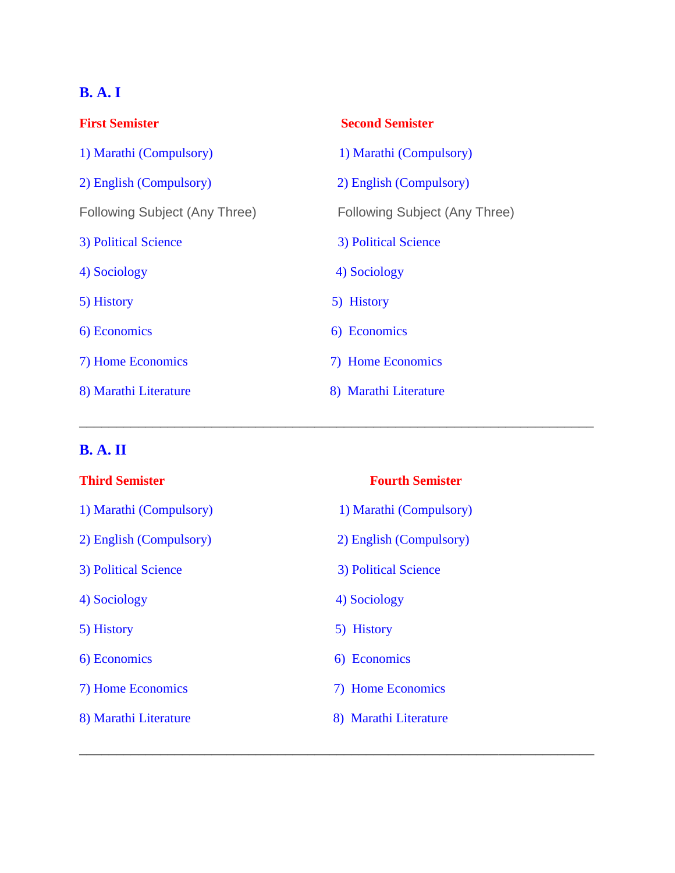## **B. A. I**

| <b>First Semister</b>         | <b>Second Semister</b>        |
|-------------------------------|-------------------------------|
| 1) Marathi (Compulsory)       | 1) Marathi (Compulsory)       |
| 2) English (Compulsory)       | 2) English (Compulsory)       |
| Following Subject (Any Three) | Following Subject (Any Three) |
| 3) Political Science          | 3) Political Science          |
| 4) Sociology                  | 4) Sociology                  |
| 5) History                    | 5) History                    |
| 6) Economics                  | 6) Economics                  |
| 7) Home Economics             | 7) Home Economics             |
| 8) Marathi Literature         | 8) Marathi Literature         |

\_\_\_\_\_\_\_\_\_\_\_\_\_\_\_\_\_\_\_\_\_\_\_\_\_\_\_\_\_\_\_\_\_\_\_\_\_\_\_\_\_\_\_\_\_\_\_\_\_\_\_\_\_\_\_\_\_\_\_\_\_\_\_\_\_\_\_\_\_\_

\_\_\_\_\_\_\_\_\_\_\_\_\_\_\_\_\_\_\_\_\_\_\_\_\_\_\_\_\_\_\_\_\_\_\_\_\_\_\_\_\_\_\_\_\_\_\_\_\_\_\_\_\_\_\_\_\_\_\_\_\_\_\_\_\_\_\_\_\_\_

## **B. A. II**

| <b>Third Semister</b>   | <b>Fourth Semister</b>  |
|-------------------------|-------------------------|
| 1) Marathi (Compulsory) | 1) Marathi (Compulsory) |
| 2) English (Compulsory) | 2) English (Compulsory) |
| 3) Political Science    | 3) Political Science    |
| 4) Sociology            | 4) Sociology            |
| 5) History              | 5) History              |
| 6) Economics            | 6) Economics            |
| 7) Home Economics       | 7) Home Economics       |
| 8) Marathi Literature   | 8) Marathi Literature   |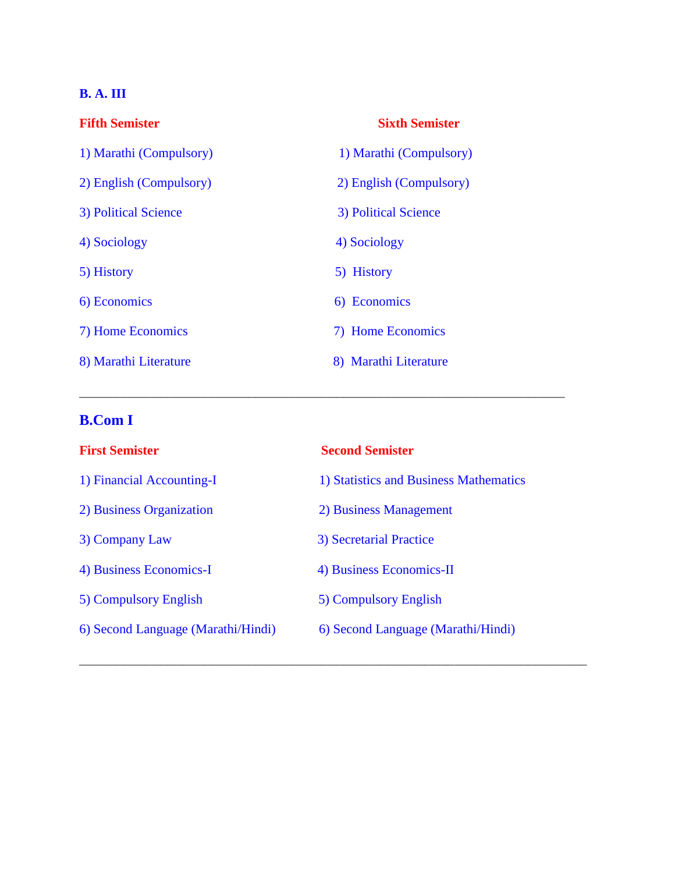## **B. A. III**

| <b>Fifth Semister</b>   | <b>Sixth Semister</b>   |
|-------------------------|-------------------------|
| 1) Marathi (Compulsory) | 1) Marathi (Compulsory) |
| 2) English (Compulsory) | 2) English (Compulsory) |
| 3) Political Science    | 3) Political Science    |
| 4) Sociology            | 4) Sociology            |
| 5) History              | 5) History              |
| 6) Economics            | 6) Economics            |
| 7) Home Economics       | 7) Home Economics       |
| 8) Marathi Literature   | 8) Marathi Literature   |

## **B.Com I**

| <b>Second Semister</b>                 |
|----------------------------------------|
| 1) Statistics and Business Mathematics |
| 2) Business Management                 |
| 3) Secretarial Practice                |
| 4) Business Economics-II               |
| 5) Compulsory English                  |
| 6) Second Language (Marathi/Hindi)     |
|                                        |

\_\_\_\_\_\_\_\_\_\_\_\_\_\_\_\_\_\_\_\_\_\_\_\_\_\_\_\_\_\_\_\_\_\_\_\_\_\_\_\_\_\_\_\_\_\_\_\_\_\_\_\_\_\_\_\_\_\_\_\_\_\_\_\_\_\_\_\_\_

 $\_$  , and the set of the set of the set of the set of the set of the set of the set of the set of the set of the set of the set of the set of the set of the set of the set of the set of the set of the set of the set of th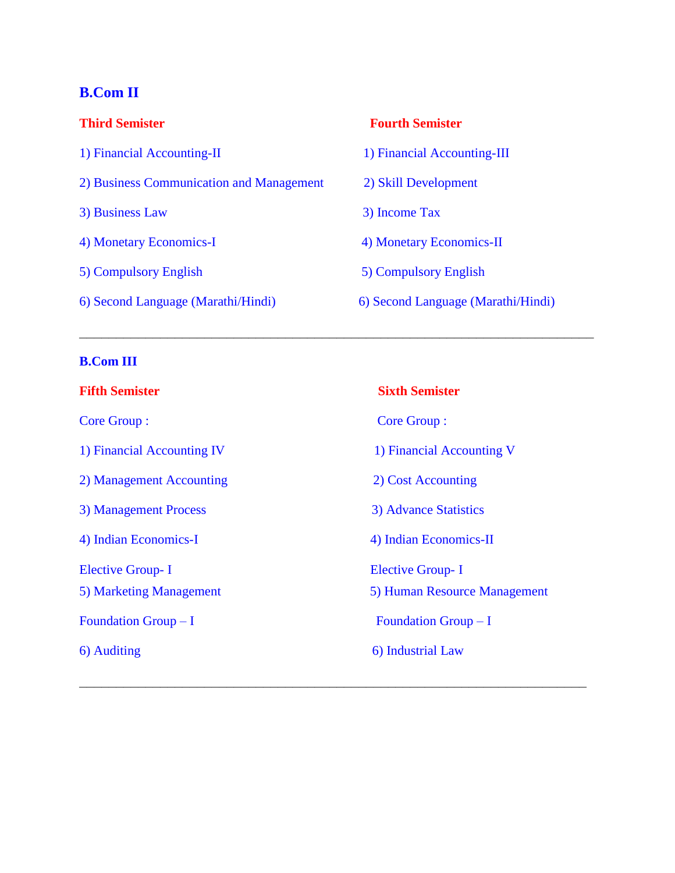## **B.Com II**

| <b>Third Semister</b>                    | <b>Fourth Semister</b>             |
|------------------------------------------|------------------------------------|
| 1) Financial Accounting-II               | 1) Financial Accounting-III        |
| 2) Business Communication and Management | 2) Skill Development               |
| 3) Business Law                          | 3) Income Tax                      |
| 4) Monetary Economics-I                  | 4) Monetary Economics-II           |
| 5) Compulsory English                    | 5) Compulsory English              |
| 6) Second Language (Marathi/Hindi)       | 6) Second Language (Marathi/Hindi) |

\_\_\_\_\_\_\_\_\_\_\_\_\_\_\_\_\_\_\_\_\_\_\_\_\_\_\_\_\_\_\_\_\_\_\_\_\_\_\_\_\_\_\_\_\_\_\_\_\_\_\_\_\_\_\_\_\_\_\_\_\_\_\_\_\_\_\_\_\_\_

## **B.Com III**

| <b>Fifth Semister</b>      | <b>Sixth Semister</b>        |
|----------------------------|------------------------------|
| <b>Core Group:</b>         | <b>Core Group:</b>           |
| 1) Financial Accounting IV | 1) Financial Accounting V    |
| 2) Management Accounting   | 2) Cost Accounting           |
| 3) Management Process      | 3) Advance Statistics        |
| 4) Indian Economics-I      | 4) Indian Economics-II       |
| <b>Elective Group-I</b>    | <b>Elective Group-I</b>      |
| 5) Marketing Management    | 5) Human Resource Management |
| Foundation Group $-I$      | Foundation Group $-I$        |
| 6) Auditing                | 6) Industrial Law            |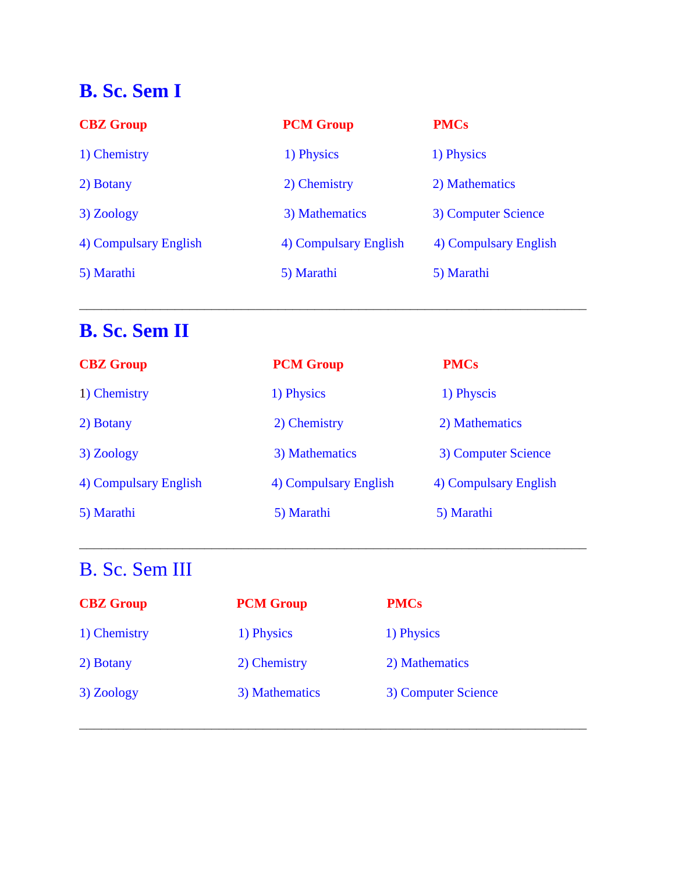# **B. Sc. Sem I**

| <b>CBZ</b> Group      | <b>PCM Group</b>      | <b>PMCs</b>           |
|-----------------------|-----------------------|-----------------------|
| 1) Chemistry          | 1) Physics            | 1) Physics            |
| 2) Botany             | 2) Chemistry          | 2) Mathematics        |
| 3) Zoology            | 3) Mathematics        | 3) Computer Science   |
| 4) Compulsary English | 4) Compulsary English | 4) Compulsary English |
| 5) Marathi            | 5) Marathi            | 5) Marathi            |
|                       |                       |                       |

\_\_\_\_\_\_\_\_\_\_\_\_\_\_\_\_\_\_\_\_\_\_\_\_\_\_\_\_\_\_\_\_\_\_\_\_\_\_\_\_\_\_\_\_\_\_\_\_\_\_\_\_\_\_\_\_\_\_\_\_\_\_\_\_\_\_\_\_\_

# **B. Sc. Sem II**

| <b>CBZ</b> Group      | <b>PCM Group</b>      | <b>PMCs</b>           |
|-----------------------|-----------------------|-----------------------|
| 1) Chemistry          | 1) Physics            | 1) Physcis            |
| 2) Botany             | 2) Chemistry          | 2) Mathematics        |
| 3) Zoology            | 3) Mathematics        | 3) Computer Science   |
| 4) Compulsary English | 4) Compulsary English | 4) Compulsary English |
| 5) Marathi            | 5) Marathi            | 5) Marathi            |

\_\_\_\_\_\_\_\_\_\_\_\_\_\_\_\_\_\_\_\_\_\_\_\_\_\_\_\_\_\_\_\_\_\_\_\_\_\_\_\_\_\_\_\_\_\_\_\_\_\_\_\_\_\_\_\_\_\_\_\_\_\_\_\_\_\_\_\_\_

\_\_\_\_\_\_\_\_\_\_\_\_\_\_\_\_\_\_\_\_\_\_\_\_\_\_\_\_\_\_\_\_\_\_\_\_\_\_\_\_\_\_\_\_\_\_\_\_\_\_\_\_\_\_\_\_\_\_\_\_\_\_\_\_\_\_\_\_\_

# B. Sc. Sem III

| <b>CBZ</b> Group | <b>PCM Group</b> | <b>PMCs</b>         |
|------------------|------------------|---------------------|
| 1) Chemistry     | 1) Physics       | 1) Physics          |
| 2) Botany        | 2) Chemistry     | 2) Mathematics      |
| 3) Zoology       | 3) Mathematics   | 3) Computer Science |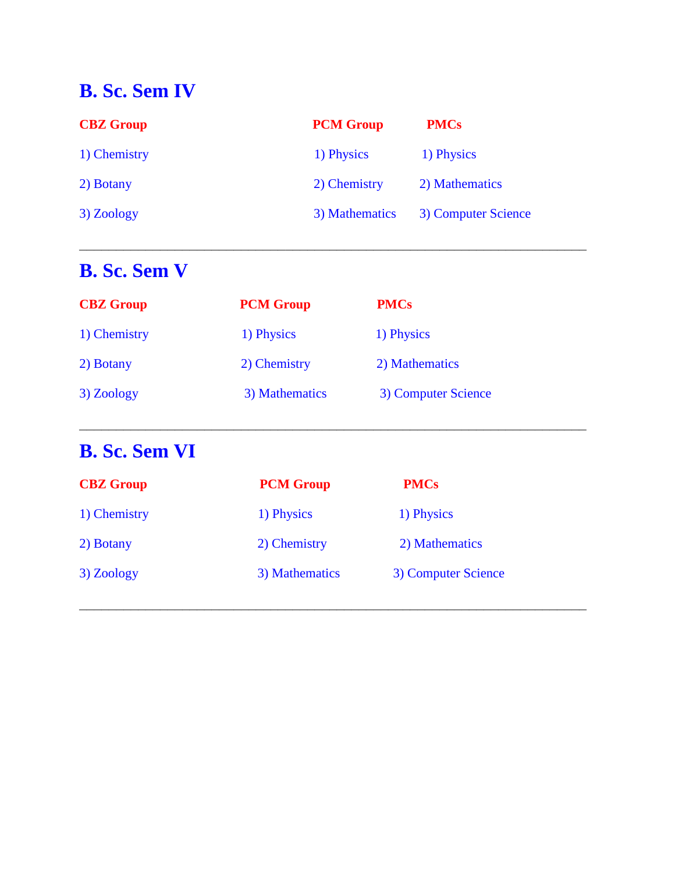# **B. Sc. Sem IV**

| <b>CBZ</b> Group | <b>PCM Group</b> | <b>PMCs</b>         |
|------------------|------------------|---------------------|
| 1) Chemistry     | 1) Physics       | 1) Physics          |
| 2) Botany        | 2) Chemistry     | 2) Mathematics      |
| 3) Zoology       | 3) Mathematics   | 3) Computer Science |

\_\_\_\_\_\_\_\_\_\_\_\_\_\_\_\_\_\_\_\_\_\_\_\_\_\_\_\_\_\_\_\_\_\_\_\_\_\_\_\_\_\_\_\_\_\_\_\_\_\_\_\_\_\_\_\_\_\_\_\_\_\_\_\_\_\_\_\_\_

# **B. Sc. Sem V**

| <b>CBZ</b> Group | <b>PCM Group</b> | <b>PMCs</b>         |
|------------------|------------------|---------------------|
| 1) Chemistry     | 1) Physics       | 1) Physics          |
| 2) Botany        | 2) Chemistry     | 2) Mathematics      |
| 3) Zoology       | 3) Mathematics   | 3) Computer Science |

\_\_\_\_\_\_\_\_\_\_\_\_\_\_\_\_\_\_\_\_\_\_\_\_\_\_\_\_\_\_\_\_\_\_\_\_\_\_\_\_\_\_\_\_\_\_\_\_\_\_\_\_\_\_\_\_\_\_\_\_\_\_\_\_\_\_\_\_\_

# **B. Sc. Sem VI**

| <b>CBZ</b> Group | <b>PCM Group</b> | <b>PMCs</b>         |
|------------------|------------------|---------------------|
| 1) Chemistry     | 1) Physics       | 1) Physics          |
| 2) Botany        | 2) Chemistry     | 2) Mathematics      |
| 3) Zoology       | 3) Mathematics   | 3) Computer Science |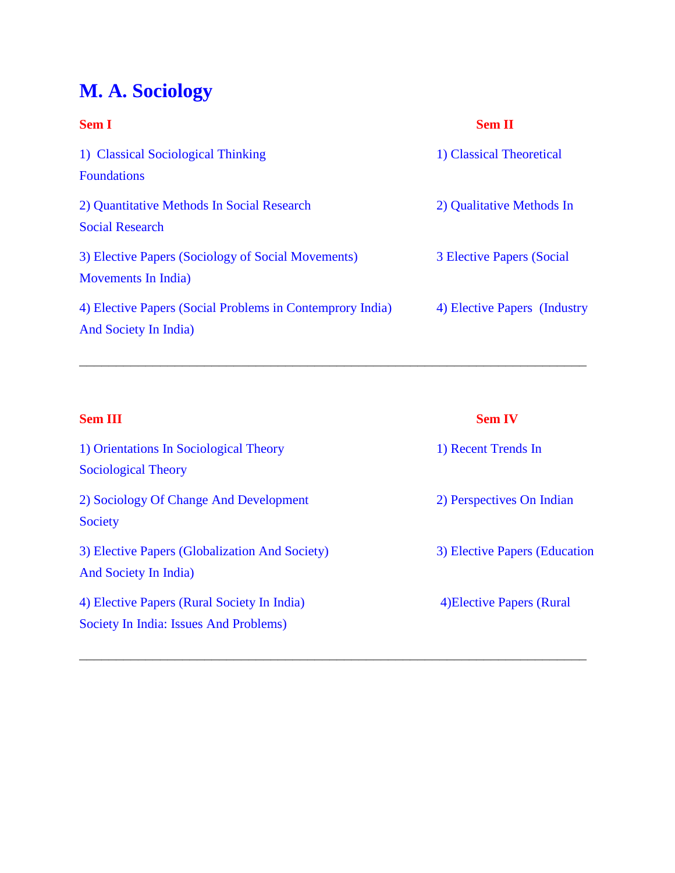# **M. A. Sociology**

| <b>Sem I</b>                                                                       | <b>Sem II</b>                    |
|------------------------------------------------------------------------------------|----------------------------------|
| 1) Classical Sociological Thinking<br><b>Foundations</b>                           | 1) Classical Theoretical         |
| 2) Quantitative Methods In Social Research<br><b>Social Research</b>               | 2) Qualitative Methods In        |
| 3) Elective Papers (Sociology of Social Movements)<br>Movements In India)          | <b>3 Elective Papers (Social</b> |
| 4) Elective Papers (Social Problems in Contemprory India)<br>And Society In India) | 4) Elective Papers (Industry     |

\_\_\_\_\_\_\_\_\_\_\_\_\_\_\_\_\_\_\_\_\_\_\_\_\_\_\_\_\_\_\_\_\_\_\_\_\_\_\_\_\_\_\_\_\_\_\_\_\_\_\_\_\_\_\_\_\_\_\_\_\_\_\_\_\_\_\_\_\_

| <b>Sem III</b>                                                                        | <b>Sem IV</b>                 |
|---------------------------------------------------------------------------------------|-------------------------------|
| 1) Orientations In Sociological Theory<br><b>Sociological Theory</b>                  | 1) Recent Trends In           |
| 2) Sociology Of Change And Development<br>Society                                     | 2) Perspectives On Indian     |
| 3) Elective Papers (Globalization And Society)<br>And Society In India)               | 3) Elective Papers (Education |
| 4) Elective Papers (Rural Society In India)<br>Society In India: Issues And Problems) | 4) Elective Papers (Rural     |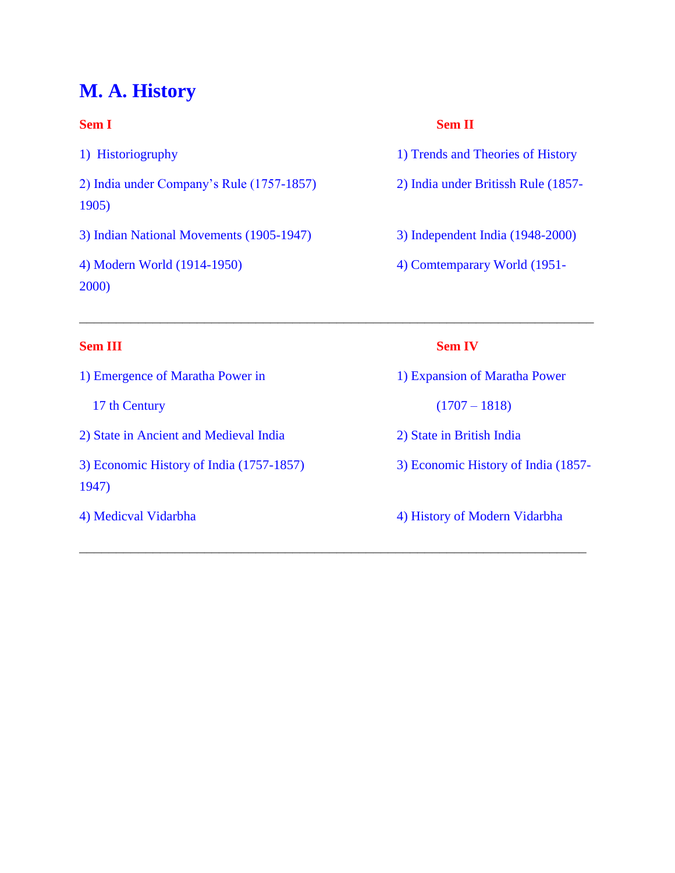## **M. A. History**

1) Historiogruphy 1) Trends and Theories of History 2) India under Company's Rule (1757-1857) 2) India under Britissh Rule (1857- 1905) 3) Indian National Movements (1905-1947) 3) Independent India (1948-2000) 4) Modern World (1914-1950) 4) Comtemparary World (1951- 2000)

## **Sem I** Sem II

- 
- 
- 
- 

\_\_\_\_\_\_\_\_\_\_\_\_\_\_\_\_\_\_\_\_\_\_\_\_\_\_\_\_\_\_\_\_\_\_\_\_\_\_\_\_\_\_\_\_\_\_\_\_\_\_\_\_\_\_\_\_\_\_\_\_\_\_\_\_\_\_\_\_\_\_

\_\_\_\_\_\_\_\_\_\_\_\_\_\_\_\_\_\_\_\_\_\_\_\_\_\_\_\_\_\_\_\_\_\_\_\_\_\_\_\_\_\_\_\_\_\_\_\_\_\_\_\_\_\_\_\_\_\_\_\_\_\_\_\_\_\_\_\_\_

### **Sem III** Sem IV

1) Emergence of Maratha Power in 1) Expansion of Maratha Power 17 th Century (1707 – 1818) 2) State in Ancient and Medieval India 2) State in British India 3) Economic History of India (1757-1857) 3) Economic History of India (1857- 1947)

4) Medicval Vidarbha 4) History of Modern Vidarbha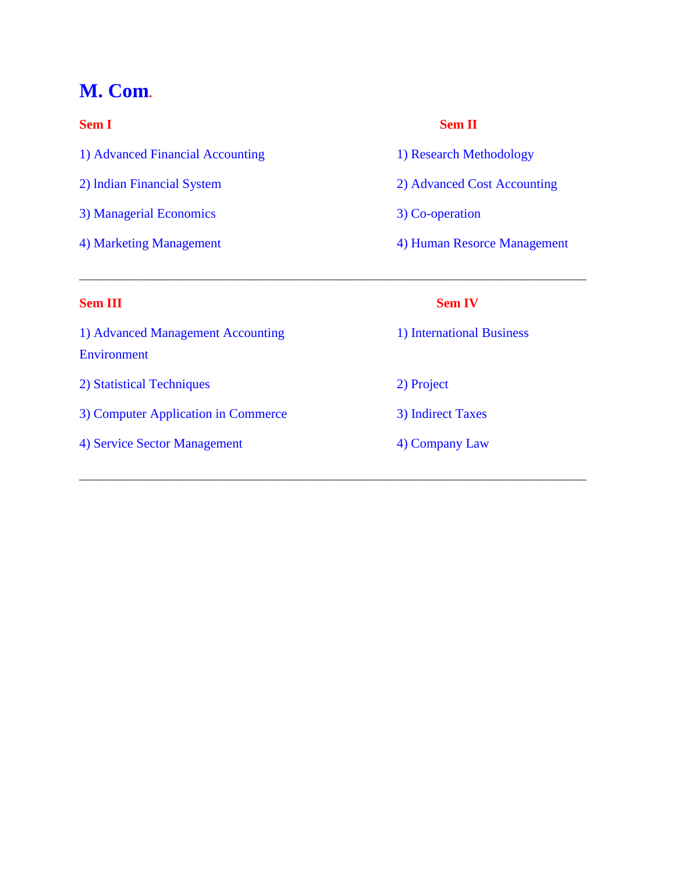## **M. Com.**

1) Advanced Financial Accounting 1) Research Methodology 2) lndian Financial System 2) Advanced Cost Accounting 3) Managerial Economics 3) Co-operation

### **Sem I** Sem II

- 
- 
- 
- 4) Marketing Management 4) Human Resorce Management

1) Advanced Management Accounting 1) International Business Environment

2) Statistical Techniques 2) Project

3) Computer Application in Commerce 3) Indirect Taxes

4) Service Sector Management 4) Company Law

### **Sem III** Sem IV

\_\_\_\_\_\_\_\_\_\_\_\_\_\_\_\_\_\_\_\_\_\_\_\_\_\_\_\_\_\_\_\_\_\_\_\_\_\_\_\_\_\_\_\_\_\_\_\_\_\_\_\_\_\_\_\_\_\_\_\_\_\_\_\_\_\_\_\_\_

- 
-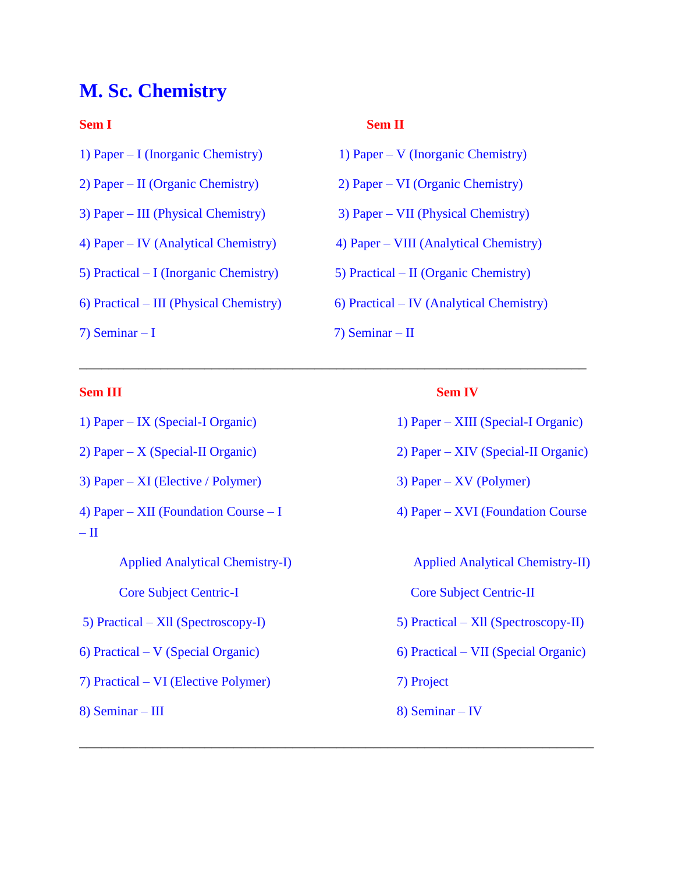## **M. Sc. Chemistry**

- 
- 
- 
- 
- 
- 
- 

### **Sem III Sem IV**

- 3) Paper XI (Elective / Polymer) 3) Paper XV (Polymer)
- 4) Paper XII (Foundation Course I  $\qquad \qquad$  4) Paper XVI (Foundation Course  $-$  II

Applied Analytical Chemistry-I) Applied Analytical Chemistry-II)

7) Practical – VI (Elective Polymer) 7) Project

8) Seminar – III 8) Seminar – IV

### **Sem I** Sem II

- 1) Paper I (Inorganic Chemistry) 1) Paper V (Inorganic Chemistry)
- 2) Paper II (Organic Chemistry) 2) Paper VI (Organic Chemistry)
- 3) Paper III (Physical Chemistry) 3) Paper VII (Physical Chemistry)
- 4) Paper IV (Analytical Chemistry) 4) Paper VIII (Analytical Chemistry)
- 5) Practical I (Inorganic Chemistry) 5) Practical II (Organic Chemistry)
- 6) Practical III (Physical Chemistry) 6) Practical IV (Analytical Chemistry)
- $7)$  Seminar I  $7)$  Seminar II

\_\_\_\_\_\_\_\_\_\_\_\_\_\_\_\_\_\_\_\_\_\_\_\_\_\_\_\_\_\_\_\_\_\_\_\_\_\_\_\_\_\_\_\_\_\_\_\_\_\_\_\_\_\_\_\_\_\_\_\_\_\_\_\_\_\_\_\_\_

- 1) Paper IX (Special-I Organic) 1) Paper XIII (Special-I Organic)
- 2) Paper X (Special-II Organic) 2) Paper XIV (Special-II Organic)
	-
	-

- Core Subject Centric-I Core Subject Centric-II
- 5) Practical Xll (Spectroscopy-I) 5) Practical Xll (Spectroscopy-II)
- 6) Practical V (Special Organic) 6) Practical VII (Special Organic)
	- -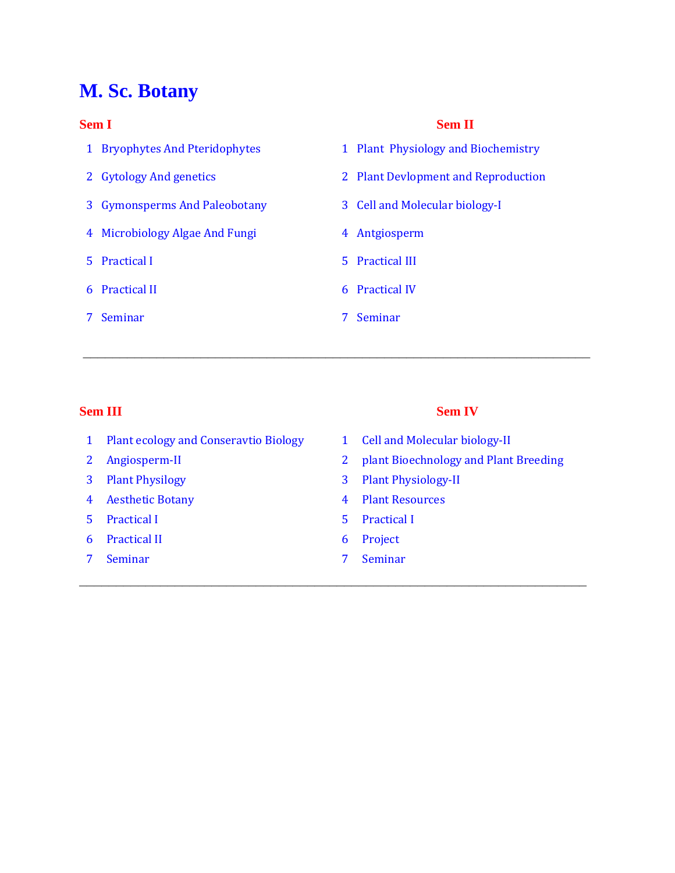# **M. Sc. Botany**

- 
- 3 Gymonsperms And Paleobotany 3 Cell and Molecular biology-I
- 4 Microbiology Algae And Fungi 4 Antgiosperm
- 
- 6 Practical II 6 Practical IV
- 7 Seminar 7 Seminar

### **Sem I** Sem II

- 1 Bryophytes And Pteridophytes 1 Plant Physiology and Biochemistry
- 2 Gytology And genetics 2 Plant Devlopment and Reproduction
	-
	-
- 5 Practical I 5 Practical III
	-
	-

\_\_\_\_\_\_\_\_\_\_\_\_\_\_\_\_\_\_\_\_\_\_\_\_\_\_\_\_\_\_\_\_\_\_\_\_\_\_\_\_\_\_\_\_\_\_\_\_\_\_\_\_\_\_\_\_\_\_\_\_\_\_\_\_\_\_\_\_\_

### **Sem III** Sem IV

- 1 Plant ecology and Conseravtio Biology 1 Cell and Molecular biology-II
- 
- 
- 4 Aesthetic Botany 4 Plant Resources
- 5 Practical I 5 Practical I
- 6 Practical II 6 Project
- 7 Seminar 7 Seminar 7 Seminar 7 Seminar 7 Seminar 7 Seminar 7 Seminar 7 Seminar 7 Seminar 7 Seminar 7 Seminar

- 
- 2 Angiosperm-II 2 plant Bioechnology and Plant Breeding
- 3 Plant Physilogy 3 Plant Physiology-II
	-
	-
	-
	-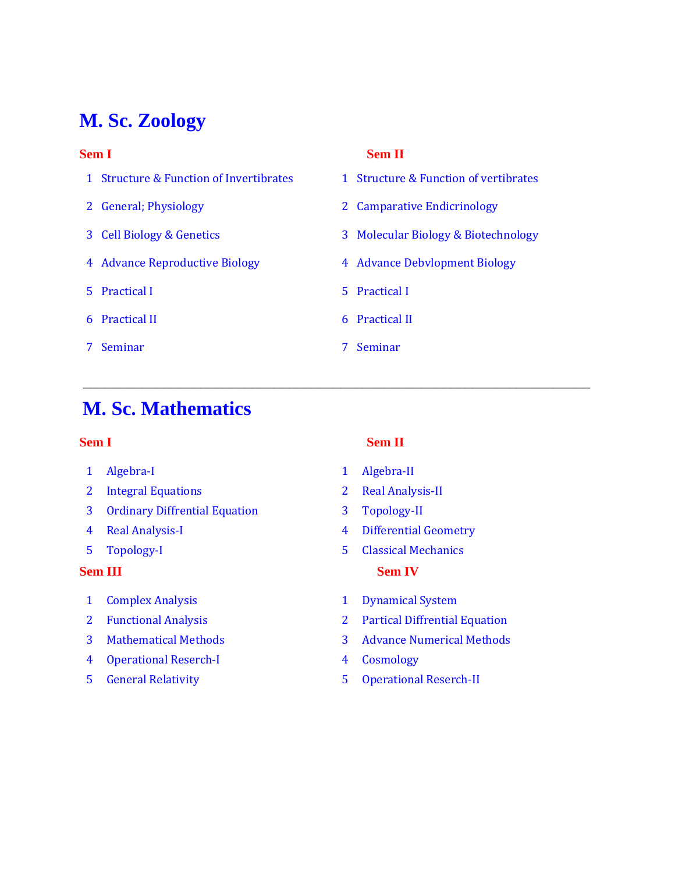# **M. Sc. Zoology**

- 1 Structure & Function of Invertibrates 1 Structure & Function of vertibrates
- 
- 
- 
- 5 Practical I 5 Practical I
- 
- 7 Seminar 7 Seminar

### **Sem I** Sem II

- 
- 2 General; Physiology 2 Camparative Endicrinology
- 3 Cell Biology & Genetics 3 Molecular Biology & Biotechnology
- 4 Advance Reproductive Biology 4 Advance Debvlopment Biology
	-
- 6 Practical II 6 Practical II
	-

\_\_\_\_\_\_\_\_\_\_\_\_\_\_\_\_\_\_\_\_\_\_\_\_\_\_\_\_\_\_\_\_\_\_\_\_\_\_\_\_\_\_\_\_\_\_\_\_\_\_\_\_\_\_\_\_\_\_\_\_\_\_\_\_\_\_\_\_\_

## **M. Sc. Mathematics**

- 1 Algebra-I 1 Algebra-II
- 2 Integral Equations 2 Real Analysis-II
- 3 Ordinary Diffrential Equation 3 Topology-II
- 
- 

- 
- 
- 
- 4 Operational Reserch-I 4 Cosmology
- 

## **Sem I** Sem II

- 
- 
- 
- 4 Real Analysis-I 4 Differential Geometry
- 5 Topology-I 5 Classical Mechanics **Sem III** Sem IV
- 1 Complex Analysis 1 Dynamical System
- 2 Functional Analysis 2 Partical Diffrential Equation
- 3 Mathematical Methods 3 Advance Numerical Methods
	-
- 5 General Relativity 5 Operational Reserch-II